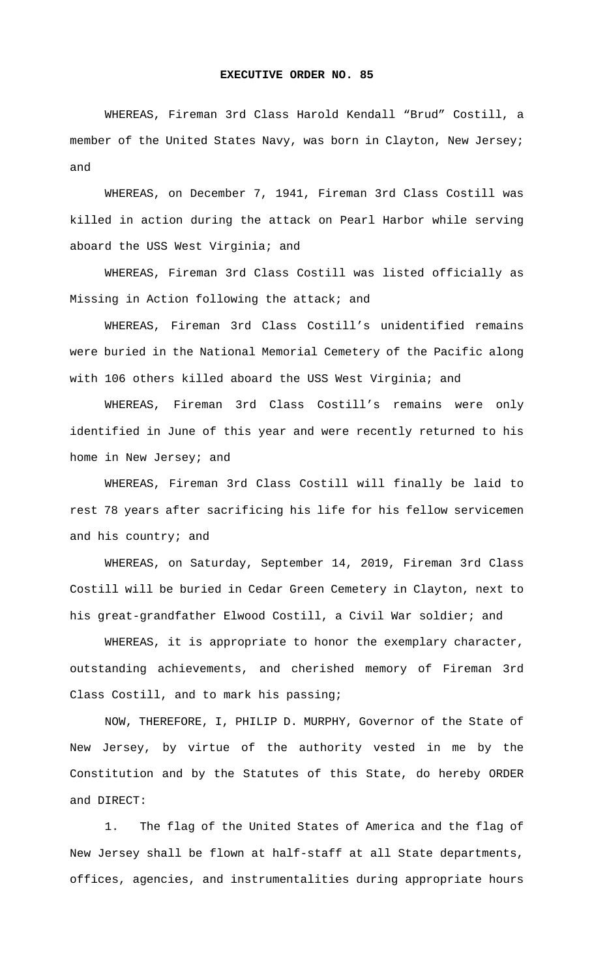## **EXECUTIVE ORDER NO. 85**

 WHEREAS, Fireman 3rd Class Harold Kendall "Brud" Costill, a member of the United States Navy, was born in Clayton, New Jersey; and

 WHEREAS, on December 7, 1941, Fireman 3rd Class Costill was killed in action during the attack on Pearl Harbor while serving aboard the USS West Virginia; and

 WHEREAS, Fireman 3rd Class Costill was listed officially as Missing in Action following the attack; and

 WHEREAS, Fireman 3rd Class Costill's unidentified remains were buried in the National Memorial Cemetery of the Pacific along with 106 others killed aboard the USS West Virginia; and

 WHEREAS, Fireman 3rd Class Costill's remains were only identified in June of this year and were recently returned to his home in New Jersey; and

 WHEREAS, Fireman 3rd Class Costill will finally be laid to rest 78 years after sacrificing his life for his fellow servicemen and his country; and

 WHEREAS, on Saturday, September 14, 2019, Fireman 3rd Class Costill will be buried in Cedar Green Cemetery in Clayton, next to his great-grandfather Elwood Costill, a Civil War soldier; and

 WHEREAS, it is appropriate to honor the exemplary character, outstanding achievements, and cherished memory of Fireman 3rd Class Costill, and to mark his passing;

 NOW, THEREFORE, I, PHILIP D. MURPHY, Governor of the State of New Jersey, by virtue of the authority vested in me by the Constitution and by the Statutes of this State, do hereby ORDER and DIRECT:

1. The flag of the United States of America and the flag of New Jersey shall be flown at half-staff at all State departments, offices, agencies, and instrumentalities during appropriate hours